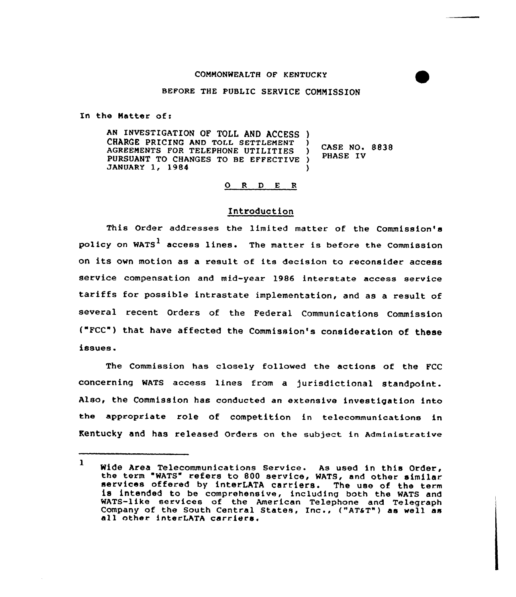#### COMMONWEALTH OF KENTUCKY

## BEFORE THE PUBLIC SERVICE CONNISSION

In the Natter of:

AN INVESTIGATION OF TOLL AND ACCESS ) CHARGE PRICING AND TOLL SETTLEMENT AGREEMENTS FOR TELEPHONE UTILITIES PURSUANT TO CHANGES TO BE EFFECTIVE ) JANUARY 1, 1984 PHASE IV )

 $\angle$  CASE NO. 8838

## 0 <sup>R</sup> <sup>D</sup> <sup>E</sup> <sup>R</sup>

#### Introduction

This Order addresses the limited matter of the Commission's policy on WATS<sup>1</sup> access lines. The matter is before the Commission on its own motion as <sup>a</sup> result of its decision to reconsider access service compensation and mid-year 1986 interstate access service tariffs for possible intrastate implementation, and as <sup>a</sup> result of several recent Orders of the Federal Communications Commission ("FCC") that, have affected the Commission's consideration of these issues.

The Commission has closely followed the actions of the FCC concerning WATS access lines from a jurisdictional standpoint. Also, the Commission has conducted an extensive investigation into the appropriate role of competition in telecommunications in Kentucky and has released orders on the subject in Administrative

Wide Area Telecommunications Service. As used in this Order,<br>the term "WATS" refers to 800 service, WATS, and other similar<br>services offered by interLATA carriers. The use of the term<br>is intended to be comprehensive, inclu WATS-like services of the American Telephone and Telegraph Company of the South Central States, Inc., ("AT&T") as well as all other interLATA carriers.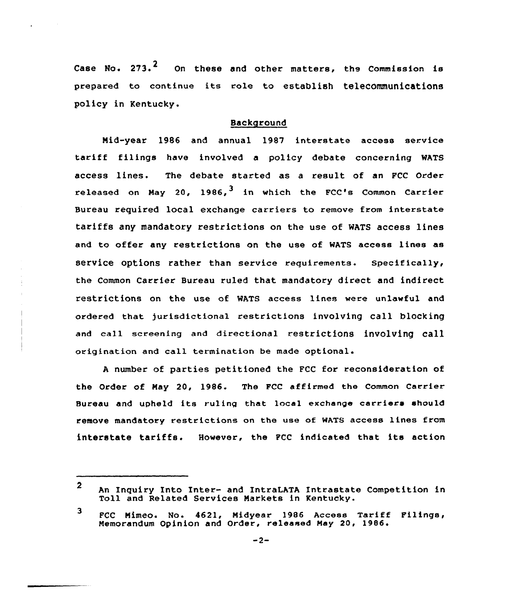Case No. 273.<sup>4</sup> On these and other matters, the Commission is prepared to continue its role to establish teleCOmmunications policy in Kentucky.

## Background

Mid-year 1986 and annual 1987 interstate access service tariff filings have involved <sup>a</sup> policy debate concerning WATS access lines. The debate started as a result of an FCC Order released on May 20, 1986,  $3$  in which the FCC's Common Carrier Bureau required local exchange carriers to remove from interstate tariffs any mandatory restrictions on the use of WATS access lines and to offer any restrictions on the use of WATS access lines as service options rather than service requirements. Specifically, the Common Carrier Bureau ruled that mandatory direct and indirect restrictions on the use of WATS access lines were unlawful and ordered that jurisdictional restrictions involving call blocking and call screening and directional restrictions involving call origination and call termination be made optional.

<sup>A</sup> number of parties petitioned the FCC for reconsideration of the Order of May 20, 1986. The PCC affirmed the Common Carrier Bureau and upheld its ruling that local exchange carriers should remove mandatory restrictions on the use of WATS access lines from interstate tariffs. However, the FCC indicated that its action

<sup>2</sup> An Inquiry Into Inter- and IntraLATA Intrastate Competition in Toll and Related Services Narkets in Kentucky.

<sup>3</sup> FCC Mimeo. No. 4621, Nidyear 1986 Access Tariff Filings, Memorandum Opinion and Order, released May 20, 1986.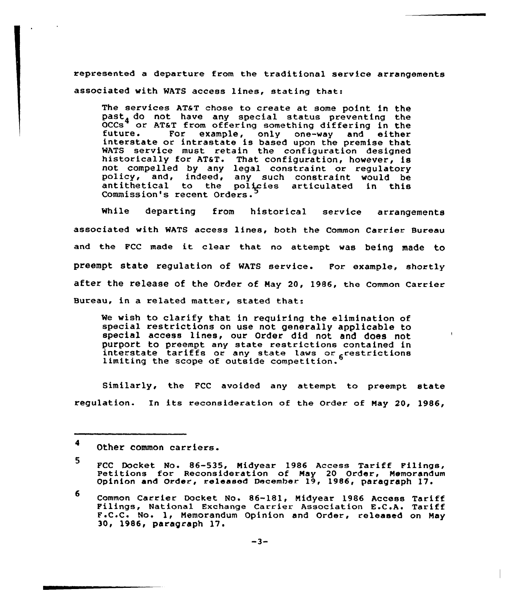represented a departure from the traditional service arrangements associated with WATS access lines, stating that:

The services AT&T chose to create at some point in the past<sub>4</sub> do not have any special status preventing the OCCs<sup>4</sup> or AT&T from offering something differing in the future. For example, only one-way and either interstate or intrastate is based upon the premise that interstate or intrastate is based upon the premise that<br>WATS service must retain the configuration designed<br>historically for AT6T. That configuration, however, is<br>not compelled by any legal constraint or regulatory not compelled by any legal constraint or regulatory<br>policy, and, indeed, any such constraint would be<br>antithetical to the policies articulated in this Commission's recent Orders.

While departing from historical service arrangements associated with WATS access lines, both the Common Carrier Bureau and the FCC made it clear that no attempt was being made to preempt state regulation of WATS service. For example, shortly after the release of the Order of Hay 20, 1986, the common carrier Bureau, in a related matter, stated that:

We wish to clarify that in requiring the elimination of special restrictions on use not generally applicable to special access lines, our Order did not and does not purport to preempt any state restrictions contained in interstate tariffs or any state laws or <sub>6</sub>restrictions 1imiting the scope of outside competition.

Similarly, the FCC avoided any attempt to preempt state regulation. In its reconsideration of the Order of May 20, 1986,

<sup>4</sup> Other common carriers.

<sup>5</sup> FCC Docket No. 86-535, Midyear 1986 Access Tariff Filings<br>Petitions for Reconsideration of May 20 Order, Memorandu Opinion and Order., released December 19, 1986< paragraph 17 <sup>~</sup>

<sup>6</sup> Common Carrier Docket No. &6-181, Midyear <sup>1986</sup> Access Tariff Filings, National Exchange Carrier Association E.C.A. Tariff F.C.C. No. 1, Memorandum Opinion and Order, released on May 30, 1986, paragraph 17.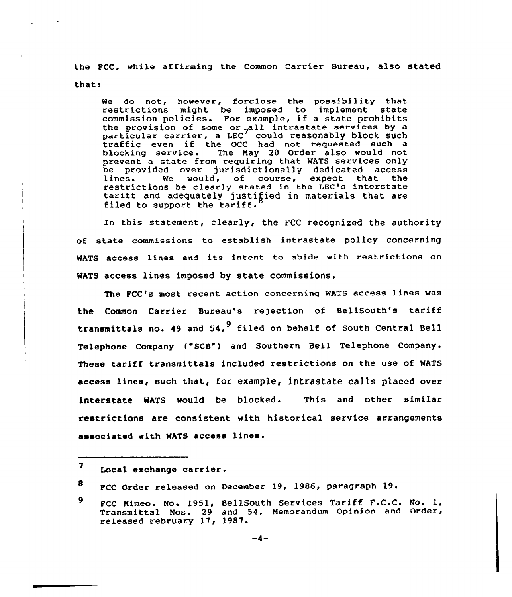the FCC, while affirming the Common Carrier Bureau, also stated thats

We do not, however, forclose the possibility that restrictions might be imposed to implement state commission policies. For example, if a state prohibit to mussion portcles. For example, it a state promibits<br>the provision of some or pall intrastate services by a particular carrier, a LEC<sup>7</sup> could reasonably block such<br>traffic even if the OCC had not requested such a b1ocking service. The May 20 Order also would not prevent a state from requiring that WATS services only be provided over jurisdictionally dedicated access lines. We would, of course, expect that the restrictions be clearly stated in the LEC's interstate tariff and adequately justified in materials that are filed to support the tariff.

In this statement, clearly, the FCC recognized the authority of state commissions to establish intrastate policy concerning WATS access lines and its intent to abide with restrictions on WATS access lines imposed by state commissions.

The FCC's most recent action concerning WATS access lines was the Common Carrier Bureau's rejection of BellSouth's tariff transmittals no. 49 and  $54.$ <sup>9</sup> filed on behalf of South Central Bell Telephone Company ("SCB") and Southern Bell Telephone Company. These tariff transmittals included restrictions on the use of WATS access lines, such that, for example, intrastate calls placed over interstate WATS would be blocked. This and other similar restrictions are consistent with historical service arrangements associated with WATS access lines

 $\overline{\mathbf{z}}$ Local exchange carrier.

<sup>8</sup> FCC Order released on December 19, 1986, paragraph 19.

<sup>9</sup> Fcc Mimeo. No. 1951, Bellsouth services Tariff F.c.c. No. 1, Transmittal Nos. 29 and 54, Memorandum Opinion and Order, released February 17, 1987.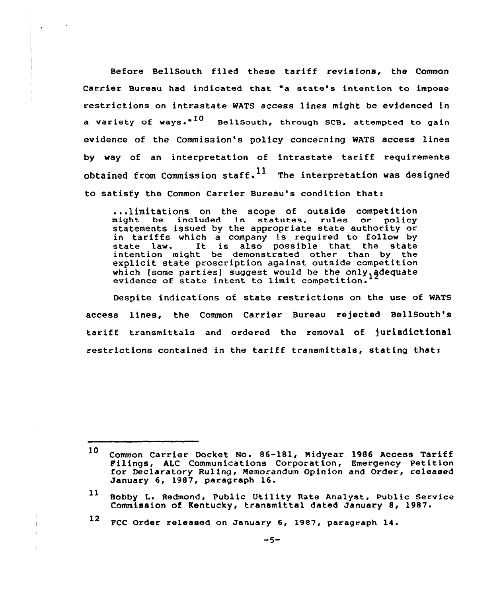Before BellSouth filed these tariff revisions, the Common Carrier Bureau had indicated that "a state's intention to impose restrictions on intrastate WATS access lines might be evidenced in a variety of ways." $^{10}$  - BellSouth, through SCB, attempted to gain evidence of the Commission's policy concerning MATS access lines by way of an interpretation of intrastate tariff requirements obtained from Commission staff.  $11$  The interpretation was designed to satisfy the Common Carrier Bureau's condition that:

...limitations on the scope of outside competition might be included in statutes, rules or policy statements issued by the appropriate state authority or in tariffs which a company is required to follow by state law. It is also possible that the state intention might be demonstrated other than by the explicit state proscription against outside competition which [some parties] suggest would be the only, adequate evidence of state intent to limit competition.

Despite indications of state restrictions on the use of MATS access lines, the Common Carrier Bureau rejected BellSouth's tariff transmittals and ordered the removal of jurisdictional restrictions contained in the tariff transmittals, stating thats

<sup>12</sup> FCC Order released on January 6, 1987, paragraph 14.

<sup>10</sup> Common Carrier Docket No- 86-181, Nidyear 1986 Access Tariff Filings, ALC Communications Corporation, Emergency Petition for Declaratory Rulinq, Memorandum Opinion and Order, released January 6, 1987, paragraph 16.

 $11$ Bobby L. Redmond, Public Utility Rate Analyst, Public Service Commission of Kentucky, transmittal dated January 8, 1987.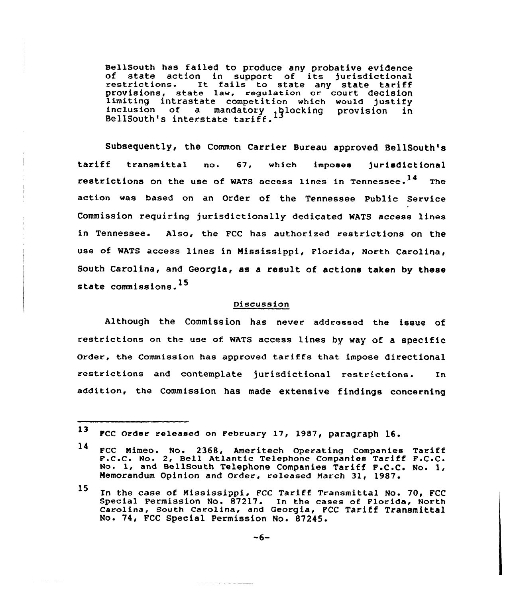BellSouth has failed to produce any probative evidence of state action in support of its jurisdictional restrictions. It fails to state any state tariff provisions, state law, regulation or court decision limiting intrastate competition which would justify<br>inclusion of a mandatory  $\frac{1}{3}$  blocking provision in BellSouth's interstate tariff.

Subsequently, the Common Carrier Bureau approved BellSouth's tariff transmittal no. 67, which imposes jurisdictional restrictions on the use of WATS access lines in Tennessee.<sup>14</sup> The action was based on an Order of the Tennessee Public Service Commission requiring jurisdictionally dedicated WATS access lines in Tennessee. Also, the FCC has authorized restrictions on the use of WATS access lines in Mississippi, Florida, North Carolina, South Carolina, and Georgia, as a result of actions taken by these state commissions.<sup>15</sup>

#### Discussion

Although the Commission has never addressed the issue of restrictions on the use of MATS access lines by way of <sup>a</sup> specific order, the commission has approved tariffs that impose directional restrictions and contemplate jurisdictional restrictions. In addition, the Commission has made extensive findings concerning

A service contractor

 $13$ FCC Order released on February 17, 1987, paragraph  $16.$ 

<sup>14</sup> FCC Mimeo. No. 2368, Ameritech Operating Companies Tariff<br>F.C.C. No. 2, Bell Atlantic Telephone Companies Tariff F.C.C. wo. 1, and BellSouth Telephone Companies Tariff F.C.C. No. 1, Memorandum Opinion and Order, released March 31, 1987.

<sup>15</sup> In the case of Mississippi, FCC Tariff Transmittal No. 70, FCC<br>Special Permission No. 87217. In the cases of Florida, North<br>Carolina, South Carolina, and Georgia, PCC Tariff Transmittal No. 74, FCC Special Permission No. 87245.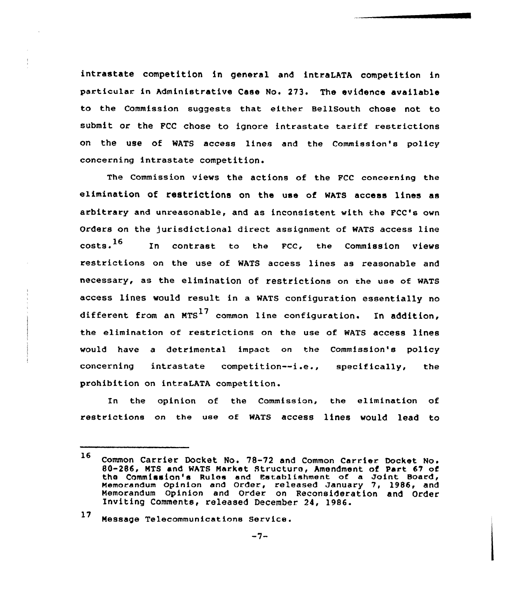intrastate competition in general and intraLATA competition in particular in Administrative Case No. 273. The evidence available to the Commission suggests that either BellSouth chose not to submit or the FCC chose to ignore intrastate tariff restrictions on the use of WATS access lines and the Commission's policy concerning intrastate competition.

The Commission views the actions of the PCC concerning the elimination of restrictions on the use of MATs access lines as arbitrary and unreasonable, and as inconsistent with the FCC's own Orders on the )urisdietional direct assignment of WATS access line  $costs.$ <sup>16</sup> In contrast to the FCC, the Commission views restrictions on the use of WATS access lines as reasonable and necessary, as the elimination of. restrictions on the use of MATS access lines would result in a WATS configuration essentially no different from an  $MTS$ <sup>17</sup> common line configuration. In addition, the elimination of restrictions on the use of WATS access lines would have a detrimental impact on the Commission's policy concerning intrastate competition--i.e., specifically, the prohibition on intraLATA competition.

In the opinion of the Commission, the elimination of restrictions on the use of WATS access lines would lead to

# 1'7 Nessage Telecommunications Service.

<sup>16</sup> Common Carrier Docket No. 78-72 and Common Carrier, Docket No. 80-286, NTS and WATS Narket Structure, Amendment of Part <sup>67</sup> of the Commission's Rules and Establishment of a Joint Board, Nemorandum opinion and Order, released January 7, 1986, and Nemorandum Opinion and Order on Reconsideration and Order Inviting Comments, released December. 24, 1986.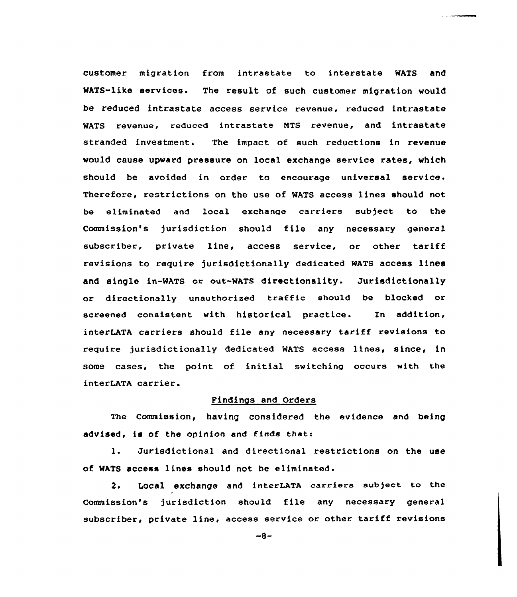customer migration from intrastate to interstate WATS and MATS-like services. The result of such customer migration would be reduced intrastate access service revenue, reduced intrastate WATS revenue, reduced intrastate MTS revenue, and intrastate stranded investment. The impact of such reductions in revenue would cause upward pressure on local exchange service rates, which should be avoided in order to encourage universal service. Therefore, restrictions on the use of MATS access lines should not be eliminated and local exchange carriers subject to the Commission's jurisdiction should file any necessary general subscriber, private line, access service, or other tariff revisions to require jurisdictionally dedicated WATS access lines and single in-MATS or out-MATS directionality. Jurisdictionally or directionally unauthorized traffic should be blocked or screened consistent with historical practice. In addition, interLATA carriers should file any necessary tariff revisions to require jurisdictionally dedicated WATS access lines, since, in some cases, the point of initial switching occurs with the interLATA carrier.

### Findings and Orders

The commission, having considered the evidence and being advised, is of the opinion and finds that:

1. Jurisdictional and directional restrictions on the use of WATS access lines should not be eliminated.

2. Local exchange and interLATA carriers subject to the Commission's jurisdiction should file any necessary general subscriber, private line, access service or other tariff revisions

 $-8-$